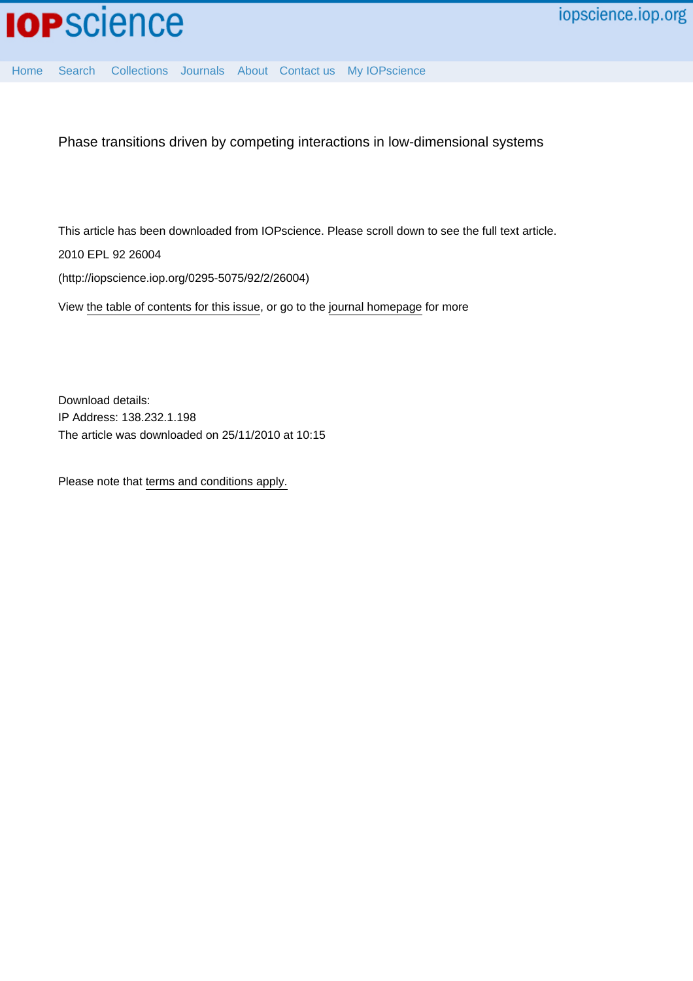

[Home](http://iopscience.iop.org/) [Search](http://iopscience.iop.org/search) [Collections](http://iopscience.iop.org/collections) [Journals](http://iopscience.iop.org/journals) [About](http://iopscience.iop.org/page/aboutioppublishing) [Contact us](http://iopscience.iop.org/contact) [My IOPscience](http://iopscience.iop.org/myiopscience)

Phase transitions driven by competing interactions in low-dimensional systems

This article has been downloaded from IOPscience. Please scroll down to see the full text article.

2010 EPL 92 26004

(http://iopscience.iop.org/0295-5075/92/2/26004)

View [the table of contents for this issue](http://iopscience.iop.org/0295-5075/92/2), or go to the [journal homepage](http://iopscience.iop.org/0295-5075) for more

Download details: IP Address: 138.232.1.198 The article was downloaded on 25/11/2010 at 10:15

Please note that [terms and conditions apply.](http://iopscience.iop.org/page/terms)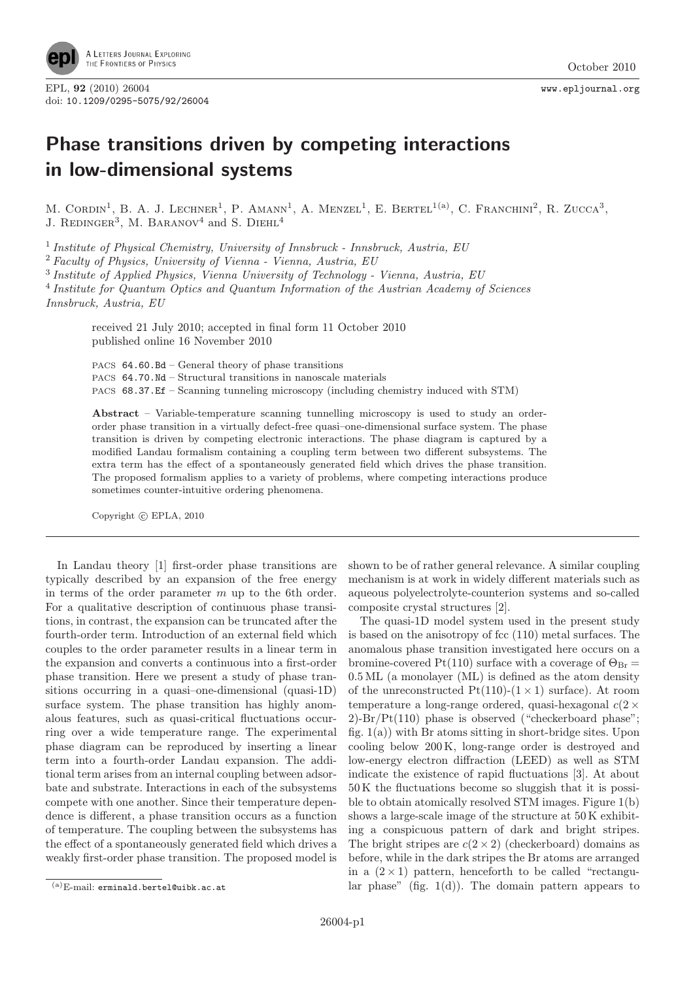

## Phase transitions driven by competing interactions in low-dimensional systems

M. CORDIN<sup>1</sup>, B. A. J. LECHNER<sup>1</sup>, P. AMANN<sup>1</sup>, A. MENZEL<sup>1</sup>, E. BERTEL<sup>1(a)</sup>, C. FRANCHINI<sup>2</sup>, R. ZUCCA<sup>3</sup>, J. REDINGER<sup>3</sup>, M. BARANOV<sup>4</sup> and S. DIEHL<sup>4</sup>

 $1$  Institute of Physical Chemistry, University of Innsbruck - Innsbruck, Austria, EU

<sup>2</sup> Faculty of Physics, University of Vienna - Vienna, Austria, EU

<sup>3</sup> Institute of Applied Physics, Vienna University of Technology - Vienna, Austria, EU

<sup>4</sup> Institute for Quantum Optics and Quantum Information of the Austrian Academy of Sciences Innsbruck, Austria, EU

received 21 July 2010; accepted in final form 11 October 2010 published online 16 November 2010

PACS 64.60.Bd – General theory of phase transitions PACS 64.70.Nd – Structural transitions in nanoscale materials PACS 68.37.Ef – Scanning tunneling microscopy (including chemistry induced with STM)

Abstract – Variable-temperature scanning tunnelling microscopy is used to study an orderorder phase transition in a virtually defect-free quasi–one-dimensional surface system. The phase transition is driven by competing electronic interactions. The phase diagram is captured by a modified Landau formalism containing a coupling term between two different subsystems. The extra term has the effect of a spontaneously generated field which drives the phase transition. The proposed formalism applies to a variety of problems, where competing interactions produce sometimes counter-intuitive ordering phenomena.

Copyright  $\odot$  EPLA, 2010

In Landau theory [1] first-order phase transitions are typically described by an expansion of the free energy in terms of the order parameter m up to the 6th order. For a qualitative description of continuous phase transitions, in contrast, the expansion can be truncated after the fourth-order term. Introduction of an external field which couples to the order parameter results in a linear term in the expansion and converts a continuous into a first-order phase transition. Here we present a study of phase transitions occurring in a quasi–one-dimensional (quasi-1D) surface system. The phase transition has highly anomalous features, such as quasi-critical fluctuations occurring over a wide temperature range. The experimental phase diagram can be reproduced by inserting a linear term into a fourth-order Landau expansion. The additional term arises from an internal coupling between adsorbate and substrate. Interactions in each of the subsystems compete with one another. Since their temperature dependence is different, a phase transition occurs as a function of temperature. The coupling between the subsystems has the effect of a spontaneously generated field which drives a weakly first-order phase transition. The proposed model is

shown to be of rather general relevance. A similar coupling mechanism is at work in widely different materials such as aqueous polyelectrolyte-counterion systems and so-called composite crystal structures [2].

The quasi-1D model system used in the present study is based on the anisotropy of fcc (110) metal surfaces. The anomalous phase transition investigated here occurs on a bromine-covered Pt(110) surface with a coverage of  $\Theta_{\text{Br}} =$ 0.5 ML (a monolayer (ML) is defined as the atom density of the unreconstructed  $Pt(110)-(1\times1)$  surface). At room temperature a long-range ordered, quasi-hexagonal  $c(2 \times$ 2)-Br/Pt(110) phase is observed ("checkerboard phase"; fig.  $1(a)$ ) with Br atoms sitting in short-bridge sites. Upon cooling below 200 K, long-range order is destroyed and low-energy electron diffraction (LEED) as well as STM indicate the existence of rapid fluctuations [3]. At about 50 K the fluctuations become so sluggish that it is possible to obtain atomically resolved STM images. Figure 1(b) shows a large-scale image of the structure at 50 K exhibiting a conspicuous pattern of dark and bright stripes. The bright stripes are  $c(2 \times 2)$  (checkerboard) domains as before, while in the dark stripes the Br atoms are arranged in a  $(2 \times 1)$  pattern, henceforth to be called "rectangular phase" (fig.  $1(d)$ ). The domain pattern appears to

 $(a)$ E-mail: erminald.bertel@uibk.ac.at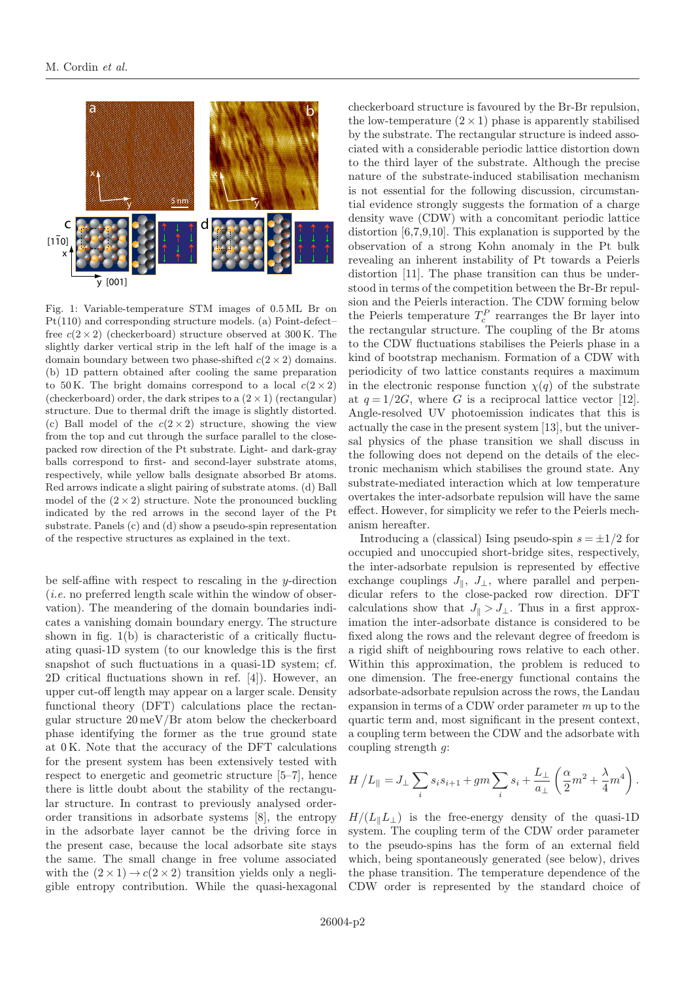

Fig. 1: Variable-temperature STM images of 0.5 ML Br on Pt(110) and corresponding structure models. (a) Point-defect– free  $c(2 \times 2)$  (checkerboard) structure observed at 300 K. The slightly darker vertical strip in the left half of the image is a domain boundary between two phase-shifted  $c(2 \times 2)$  domains. (b) 1D pattern obtained after cooling the same preparation to 50 K. The bright domains correspond to a local  $c(2 \times 2)$ (checkerboard) order, the dark stripes to a  $(2 \times 1)$  (rectangular) structure. Due to thermal drift the image is slightly distorted. (c) Ball model of the  $c(2 \times 2)$  structure, showing the view from the top and cut through the surface parallel to the closepacked row direction of the Pt substrate. Light- and dark-gray balls correspond to first- and second-layer substrate atoms, respectively, while yellow balls designate absorbed Br atoms. Red arrows indicate a slight pairing of substrate atoms. (d) Ball model of the  $(2 \times 2)$  structure. Note the pronounced buckling indicated by the red arrows in the second layer of the Pt substrate. Panels (c) and (d) show a pseudo-spin representation of the respective structures as explained in the text.

be self-affine with respect to rescaling in the y-direction  $(i.e.$  no preferred length scale within the window of observation). The meandering of the domain boundaries indicates a vanishing domain boundary energy. The structure shown in fig. 1(b) is characteristic of a critically fluctuating quasi-1D system (to our knowledge this is the first snapshot of such fluctuations in a quasi-1D system; cf. 2D critical fluctuations shown in ref. [4]). However, an upper cut-off length may appear on a larger scale. Density functional theory (DFT) calculations place the rectangular structure 20 meV/Br atom below the checkerboard phase identifying the former as the true ground state at 0 K. Note that the accuracy of the DFT calculations for the present system has been extensively tested with respect to energetic and geometric structure [5–7], hence there is little doubt about the stability of the rectangular structure. In contrast to previously analysed orderorder transitions in adsorbate systems [8], the entropy in the adsorbate layer cannot be the driving force in the present case, because the local adsorbate site stays the same. The small change in free volume associated with the  $(2 \times 1) \rightarrow c(2 \times 2)$  transition yields only a negligible entropy contribution. While the quasi-hexagonal checkerboard structure is favoured by the Br-Br repulsion, the low-temperature  $(2 \times 1)$  phase is apparently stabilised by the substrate. The rectangular structure is indeed associated with a considerable periodic lattice distortion down to the third layer of the substrate. Although the precise nature of the substrate-induced stabilisation mechanism is not essential for the following discussion, circumstantial evidence strongly suggests the formation of a charge density wave (CDW) with a concomitant periodic lattice distortion [6,7,9,10]. This explanation is supported by the observation of a strong Kohn anomaly in the Pt bulk revealing an inherent instability of Pt towards a Peierls distortion [11]. The phase transition can thus be understood in terms of the competition between the Br-Br repulsion and the Peierls interaction. The CDW forming below the Peierls temperature  $T_c^P$  rearranges the Br layer into the rectangular structure. The coupling of the Br atoms to the CDW fluctuations stabilises the Peierls phase in a kind of bootstrap mechanism. Formation of a CDW with periodicity of two lattice constants requires a maximum in the electronic response function  $\chi(q)$  of the substrate at  $q=1/2G$ , where G is a reciprocal lattice vector [12]. Angle-resolved UV photoemission indicates that this is actually the case in the present system [13], but the universal physics of the phase transition we shall discuss in the following does not depend on the details of the electronic mechanism which stabilises the ground state. Any substrate-mediated interaction which at low temperature overtakes the inter-adsorbate repulsion will have the same effect. However, for simplicity we refer to the Peierls mechanism hereafter.

Introducing a (classical) Ising pseudo-spin  $s = \pm 1/2$  for occupied and unoccupied short-bridge sites, respectively, the inter-adsorbate repulsion is represented by effective exchange couplings  $J_{\parallel}$ ,  $J_{\perp}$ , where parallel and perpendicular refers to the close-packed row direction. DFT calculations show that  $J_{\parallel} > J_{\perp}$ . Thus in a first approximation the inter-adsorbate distance is considered to be fixed along the rows and the relevant degree of freedom is a rigid shift of neighbouring rows relative to each other. Within this approximation, the problem is reduced to one dimension. The free-energy functional contains the adsorbate-adsorbate repulsion across the rows, the Landau expansion in terms of a CDW order parameter  $m$  up to the quartic term and, most significant in the present context, a coupling term between the CDW and the adsorbate with coupling strength  $q$ :

$$
H/L_{\parallel} = J_{\perp} \sum_{i} s_i s_{i+1} + gm \sum_{i} s_i + \frac{L_{\perp}}{a_{\perp}} \left( \frac{\alpha}{2} m^2 + \frac{\lambda}{4} m^4 \right).
$$

 $H/(L_{\parallel}L_{\perp})$  is the free-energy density of the quasi-1D system. The coupling term of the CDW order parameter to the pseudo-spins has the form of an external field which, being spontaneously generated (see below), drives the phase transition. The temperature dependence of the CDW order is represented by the standard choice of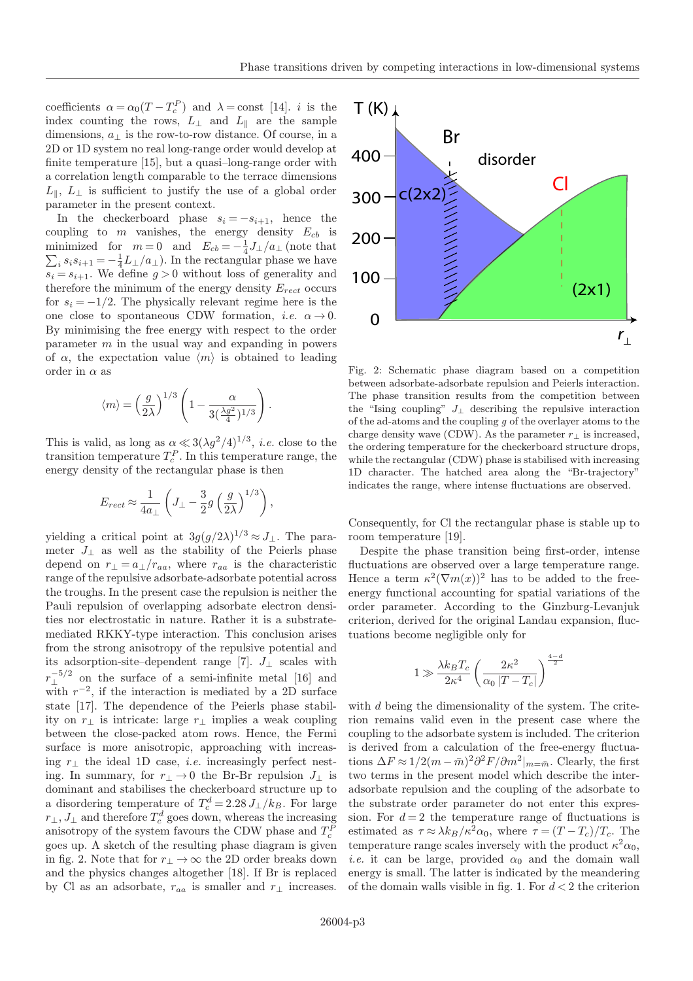coefficients  $\alpha = \alpha_0 (T - T_c^P)$  and  $\lambda = \text{const}$  [14]. *i* is the index counting the rows,  $L_{\perp}$  and  $L_{\parallel}$  are the sample dimensions,  $a_{\perp}$  is the row-to-row distance. Of course, in a 2D or 1D system no real long-range order would develop at finite temperature [15], but a quasi–long-range order with a correlation length comparable to the terrace dimensions  $L_{\parallel}$ ,  $L_{\perp}$  is sufficient to justify the use of a global order parameter in the present context.

In the checkerboard phase  $s_i = -s_{i+1}$ , hence the coupling to  $m$  vanishes, the energy density  $E_{cb}$  is minimized for  $m = 0$  and  $E_{cb} = -\frac{1}{4}J_{\perp}/a_{\perp}$  (note that  $\sum_i s_i s_{i+1} = -\frac{1}{4}L_{\perp}/a_{\perp}$ . In the rectangular phase we have  $s_i = s_{i+1}$ . We define  $g > 0$  without loss of generality and therefore the minimum of the energy density  $E_{rect}$  occurs for  $s_i = -1/2$ . The physically relevant regime here is the one close to spontaneous CDW formation, *i.e.*  $\alpha \rightarrow 0$ . By minimising the free energy with respect to the order parameter m in the usual way and expanding in powers of  $\alpha$ , the expectation value  $\langle m \rangle$  is obtained to leading order in  $\alpha$  as

$$
\langle m \rangle = \left(\frac{g}{2\lambda}\right)^{1/3} \left(1 - \frac{\alpha}{3(\frac{\lambda g^2}{4})^{1/3}}\right)
$$

.

This is valid, as long as  $\alpha \ll 3(\lambda g^2/4)^{1/3}$ , *i.e.* close to the transition temperature  $T_c^P$ . In this temperature range, the energy density of the rectangular phase is then

$$
E_{rect} \approx \frac{1}{4a_{\perp}} \left( J_{\perp} - \frac{3}{2} g \left( \frac{g}{2\lambda} \right)^{1/3} \right),
$$

yielding a critical point at  $3g(g/2\lambda)^{1/3} \approx J_{\perp}$ . The parameter  $J_{\perp}$  as well as the stability of the Peierls phase depend on  $r_{\perp} = a_{\perp}/r_{aa}$ , where  $r_{aa}$  is the characteristic range of the repulsive adsorbate-adsorbate potential across the troughs. In the present case the repulsion is neither the Pauli repulsion of overlapping adsorbate electron densities nor electrostatic in nature. Rather it is a substratemediated RKKY-type interaction. This conclusion arises from the strong anisotropy of the repulsive potential and its adsorption-site–dependent range [7].  $J_{\perp}$  scales with  $r_{\perp}^{-5/2}$  on the surface of a semi-infinite metal [16] and with  $r^{-2}$ , if the interaction is mediated by a 2D surface state [17]. The dependence of the Peierls phase stability on r<sup>⊥</sup> is intricate: large r<sup>⊥</sup> implies a weak coupling between the close-packed atom rows. Hence, the Fermi surface is more anisotropic, approaching with increasing  $r_{\perp}$  the ideal 1D case, *i.e.* increasingly perfect nesting. In summary, for  $r_{\perp} \rightarrow 0$  the Br-Br repulsion  $J_{\perp}$  is dominant and stabilises the checkerboard structure up to a disordering temperature of  $T_c^d = 2.28 J_{\perp}/k_B$ . For large  $r_{\perp}, J_{\perp}$  and therefore  $T_c^d$  goes down, whereas the increasing anisotropy of the system favours the CDW phase and  $T_c^{\mathcal{P}}$ goes up. A sketch of the resulting phase diagram is given in fig. 2. Note that for  $r_{\perp} \rightarrow \infty$  the 2D order breaks down and the physics changes altogether [18]. If Br is replaced by Cl as an adsorbate,  $r_{aa}$  is smaller and  $r_{\perp}$  increases.



Fig. 2: Schematic phase diagram based on a competition between adsorbate-adsorbate repulsion and Peierls interaction. The phase transition results from the competition between the "Ising coupling"  $J_{\perp}$  describing the repulsive interaction of the ad-atoms and the coupling  $g$  of the overlayer atoms to the charge density wave (CDW). As the parameter  $r_{\perp}$  is increased, the ordering temperature for the checkerboard structure drops, while the rectangular (CDW) phase is stabilised with increasing 1D character. The hatched area along the "Br-trajectory" indicates the range, where intense fluctuations are observed.

Consequently, for Cl the rectangular phase is stable up to room temperature [19].

Despite the phase transition being first-order, intense fluctuations are observed over a large temperature range. Hence a term  $\kappa^2(\nabla m(x))^2$  has to be added to the freeenergy functional accounting for spatial variations of the order parameter. According to the Ginzburg-Levanjuk criterion, derived for the original Landau expansion, fluctuations become negligible only for

$$
1 \gg \frac{\lambda k_B T_c}{2\kappa^4} \left(\frac{2\kappa^2}{\alpha_0 |T - T_c|}\right)^{\frac{4-d}{2}}
$$

with d being the dimensionality of the system. The criterion remains valid even in the present case where the coupling to the adsorbate system is included. The criterion is derived from a calculation of the free-energy fluctuations  $\Delta F \approx 1/2(m - \bar{m})^2 \partial^2 F / \partial m^2|_{m = \bar{m}}$ . Clearly, the first two terms in the present model which describe the interadsorbate repulsion and the coupling of the adsorbate to the substrate order parameter do not enter this expression. For  $d = 2$  the temperature range of fluctuations is estimated as  $\tau \approx \lambda k_B/\kappa^2 \alpha_0$ , where  $\tau = (T - T_c)/T_c$ . The temperature range scales inversely with the product  $\kappa^2 \alpha_0$ , *i.e.* it can be large, provided  $\alpha_0$  and the domain wall energy is small. The latter is indicated by the meandering of the domain walls visible in fig. 1. For  $d < 2$  the criterion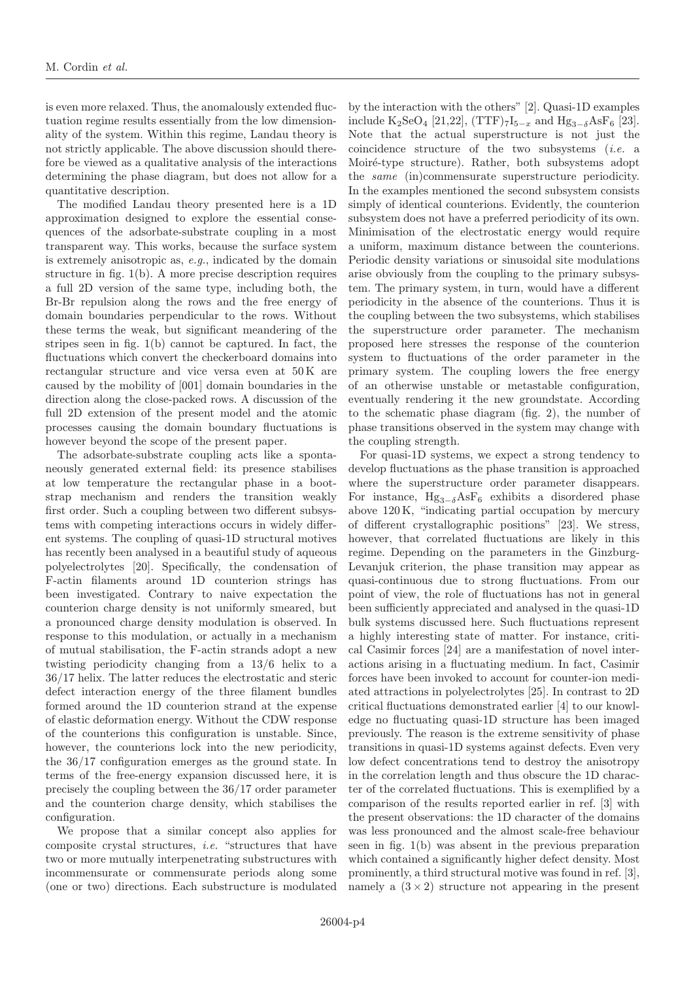is even more relaxed. Thus, the anomalously extended fluctuation regime results essentially from the low dimensionality of the system. Within this regime, Landau theory is not strictly applicable. The above discussion should therefore be viewed as a qualitative analysis of the interactions determining the phase diagram, but does not allow for a quantitative description.

The modified Landau theory presented here is a 1D approximation designed to explore the essential consequences of the adsorbate-substrate coupling in a most transparent way. This works, because the surface system is extremely anisotropic as, e.g., indicated by the domain structure in fig. 1(b). A more precise description requires a full 2D version of the same type, including both, the Br-Br repulsion along the rows and the free energy of domain boundaries perpendicular to the rows. Without these terms the weak, but significant meandering of the stripes seen in fig. 1(b) cannot be captured. In fact, the fluctuations which convert the checkerboard domains into rectangular structure and vice versa even at 50 K are caused by the mobility of [001] domain boundaries in the direction along the close-packed rows. A discussion of the full 2D extension of the present model and the atomic processes causing the domain boundary fluctuations is however beyond the scope of the present paper.

The adsorbate-substrate coupling acts like a spontaneously generated external field: its presence stabilises at low temperature the rectangular phase in a bootstrap mechanism and renders the transition weakly first order. Such a coupling between two different subsystems with competing interactions occurs in widely different systems. The coupling of quasi-1D structural motives has recently been analysed in a beautiful study of aqueous polyelectrolytes [20]. Specifically, the condensation of F-actin filaments around 1D counterion strings has been investigated. Contrary to naive expectation the counterion charge density is not uniformly smeared, but a pronounced charge density modulation is observed. In response to this modulation, or actually in a mechanism of mutual stabilisation, the F-actin strands adopt a new twisting periodicity changing from a 13/6 helix to a 36/17 helix. The latter reduces the electrostatic and steric defect interaction energy of the three filament bundles formed around the 1D counterion strand at the expense of elastic deformation energy. Without the CDW response of the counterions this configuration is unstable. Since, however, the counterions lock into the new periodicity, the 36/17 configuration emerges as the ground state. In terms of the free-energy expansion discussed here, it is precisely the coupling between the 36/17 order parameter and the counterion charge density, which stabilises the configuration.

We propose that a similar concept also applies for composite crystal structures, i.e. "structures that have two or more mutually interpenetrating substructures with incommensurate or commensurate periods along some (one or two) directions. Each substructure is modulated

by the interaction with the others" [2]. Quasi-1D examples include K<sub>2</sub>SeO<sub>4</sub> [21,22], (TTF)<sub>7</sub>I<sub>5−x</sub> and Hg<sub>3−δ</sub>AsF<sub>6</sub> [23]. Note that the actual superstructure is not just the coincidence structure of the two subsystems (i.e. a Moiré-type structure). Rather, both subsystems adopt the same (in)commensurate superstructure periodicity. In the examples mentioned the second subsystem consists simply of identical counterions. Evidently, the counterion subsystem does not have a preferred periodicity of its own. Minimisation of the electrostatic energy would require a uniform, maximum distance between the counterions. Periodic density variations or sinusoidal site modulations arise obviously from the coupling to the primary subsystem. The primary system, in turn, would have a different periodicity in the absence of the counterions. Thus it is the coupling between the two subsystems, which stabilises the superstructure order parameter. The mechanism proposed here stresses the response of the counterion system to fluctuations of the order parameter in the primary system. The coupling lowers the free energy of an otherwise unstable or metastable configuration, eventually rendering it the new groundstate. According to the schematic phase diagram (fig. 2), the number of phase transitions observed in the system may change with the coupling strength.

For quasi-1D systems, we expect a strong tendency to develop fluctuations as the phase transition is approached where the superstructure order parameter disappears. For instance,  $Hg_{3-\delta}AsF_6$  exhibits a disordered phase above 120 K, "indicating partial occupation by mercury of different crystallographic positions" [23]. We stress, however, that correlated fluctuations are likely in this regime. Depending on the parameters in the Ginzburg-Levanjuk criterion, the phase transition may appear as quasi-continuous due to strong fluctuations. From our point of view, the role of fluctuations has not in general been sufficiently appreciated and analysed in the quasi-1D bulk systems discussed here. Such fluctuations represent a highly interesting state of matter. For instance, critical Casimir forces [24] are a manifestation of novel interactions arising in a fluctuating medium. In fact, Casimir forces have been invoked to account for counter-ion mediated attractions in polyelectrolytes [25]. In contrast to 2D critical fluctuations demonstrated earlier [4] to our knowledge no fluctuating quasi-1D structure has been imaged previously. The reason is the extreme sensitivity of phase transitions in quasi-1D systems against defects. Even very low defect concentrations tend to destroy the anisotropy in the correlation length and thus obscure the 1D character of the correlated fluctuations. This is exemplified by a comparison of the results reported earlier in ref. [3] with the present observations: the 1D character of the domains was less pronounced and the almost scale-free behaviour seen in fig. 1(b) was absent in the previous preparation which contained a significantly higher defect density. Most prominently, a third structural motive was found in ref. [3], namely a  $(3 \times 2)$  structure not appearing in the present